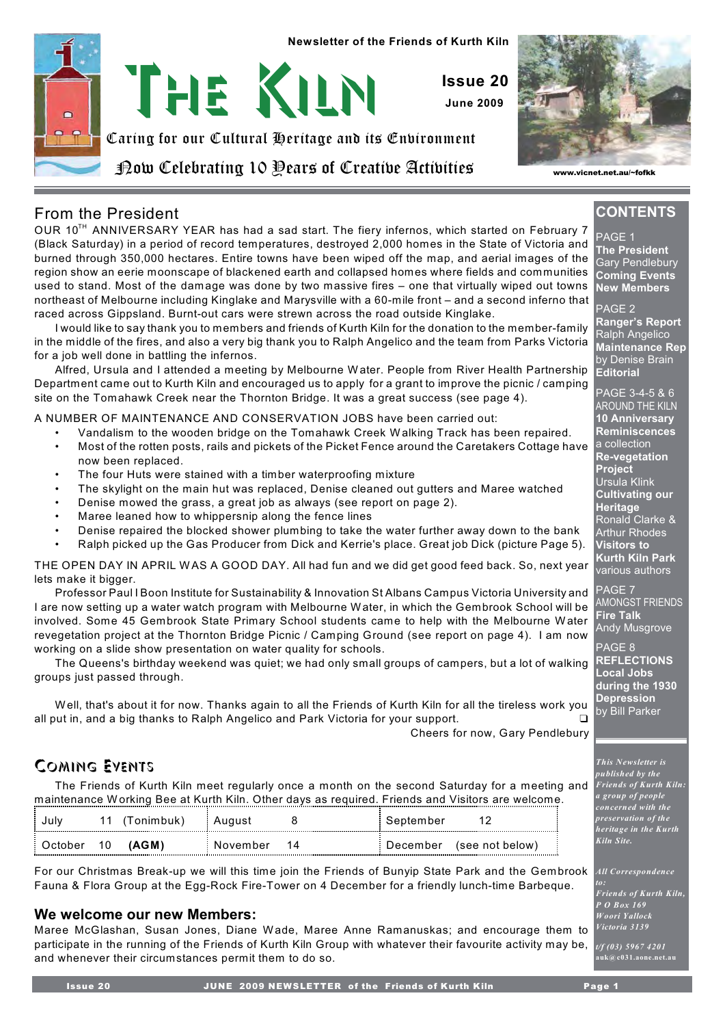



*www.vicnet.net.au/~fofkk*

### From the President

OUR 10<sup>TH</sup> ANNIVERSARY YEAR has had a sad start. The fiery infernos, which started on February 7 (Black Saturday) in a period of record temperatures, destroyed 2,000 homes in the State of Victoria and burned through 350,000 hectares. Entire towns have been wiped off the map, and aerial images of the region show an eerie moonscape of blackened earth and collapsed homes where fields and communities used to stand. Most of the damage was done by two massive fires – one that virtually wiped out towns northeast of Melbourne including Kinglake and Marysville with a 60-mile front – and a second inferno that raced across Gippsland. Burnt-out cars were strewn across the road outside Kinglake.

I would like to say thank you to members and friends of Kurth Kiln for the donation to the member-family in the middle of the fires, and also a very big thank you to Ralph Angelico and the team from Parks Victoria for a job well done in battling the infernos.

Alfred, Ursula and I attended a meeting by Melbourne W ater. People from River Health Partnership Department came out to Kurth Kiln and encouraged us to apply for a grant to improve the picnic / camping site on the Tomahawk Creek near the Thornton Bridge. It was a great success (see page 4).

A NUMBER OF MAINTENANCE AND CONSERVATION JOBS have been carried out:

- Vandalism to the wooden bridge on the Tomahawk Creek W alking Track has been repaired.
- Most of the rotten posts, rails and pickets of the Picket Fence around the Caretakers Cottage have now been replaced.
- The four Huts were stained with a timber waterproofing mixture
- The skylight on the main hut was replaced, Denise cleaned out gutters and Maree watched
- Denise mowed the grass, a great job as always (see report on page 2).
- Maree leaned how to whippersnip along the fence lines
- Denise repaired the blocked shower plumbing to take the water further away down to the bank
- Ralph picked up the Gas Producer from Dick and Kerrie's place. Great job Dick (picture Page 5).

THE OPEN DAY IN APRIL W AS A GOOD DAY. All had fun and we did get good feed back. So, next year lets make it bigger.

Professor Paul I Boon Institute for Sustainability & Innovation St Albans Campus Victoria University and I are now setting up a water watch program with Melbourne W ater, in which the Gembrook School will be involved. Some 45 Gembrook State Primary School students came to help with the Melbourne W ater revegetation project at the Thornton Bridge Picnic / Camping Ground (see report on page 4). I am now working on a slide show presentation on water quality for schools.

The Queens's birthday weekend was quiet; we had only small groups of campers, but a lot of walking groups just passed through.

Well, that's about it for now. Thanks again to all the Friends of Kurth Kiln for all the tireless work you all put in, and a big thanks to Ralph Angelico and Park Victoria for your support.

Cheers for now, Gary Pendlebury

## Coming Events

The Friends of Kurth Kiln meet regularly once a month on the second Saturday for a meeting and maintenance W orking Bee at Kurth Kiln. Other days as required. Friends and Visitors are welcome.

|           |    | (Tonimbuk) | : August | : September |                 |
|-----------|----|------------|----------|-------------|-----------------|
| : October | 10 | (AGM)      | November | : December  | (see not below) |

For our Christmas Break-up we will this time join the Friends of Bunyip State Park and the Gembrook Fauna & Flora Group at the Egg-Rock Fire-Tower on 4 December for a friendly lunch-time Barbeque.

### **We welcome our new Members:**

Maree McGlashan, Susan Jones, Diane Wade, Maree Anne Ramanuskas; and encourage them to participate in the running of the Friends of Kurth Kiln Group with whatever their favourite activity may be, and whenever their circumstances permit them to do so.

**CONTENTS** PAGE 1

**The President** Gary Pendlebury **Coming Events New Members**

PAGE 2 **Ranger's Report** Ralph Angelico **Maintenance Rep** by Denise Brain **Editorial**

PAGE 3-4-5 & 6 AROUND THE KILN **10 Anniversary Reminiscences** a collection **Re-vegetation Project** Ursula Klink **Cultivating our Heritage** Ronald Clarke & Arthur Rhodes **Visitors to Kurth Kiln Park** various authors

PAGE 7 AMONGST FRIENDS **Fire Talk** Andy Musgrove

PAGE 8 **REFLECTIONS Local Jobs during the 1930 Depression** by Bill Parker

*This Newsletter is published by the Friends of Kurth Kiln: a group of people concerned with the preservation of the heritage in the Kurth Kiln Site.*

*All Correspondence*

*Friends of Kurth Kiln, P O Box 169 Woori Yallock Victoria 3139*

*t/f (03) 5967 4201*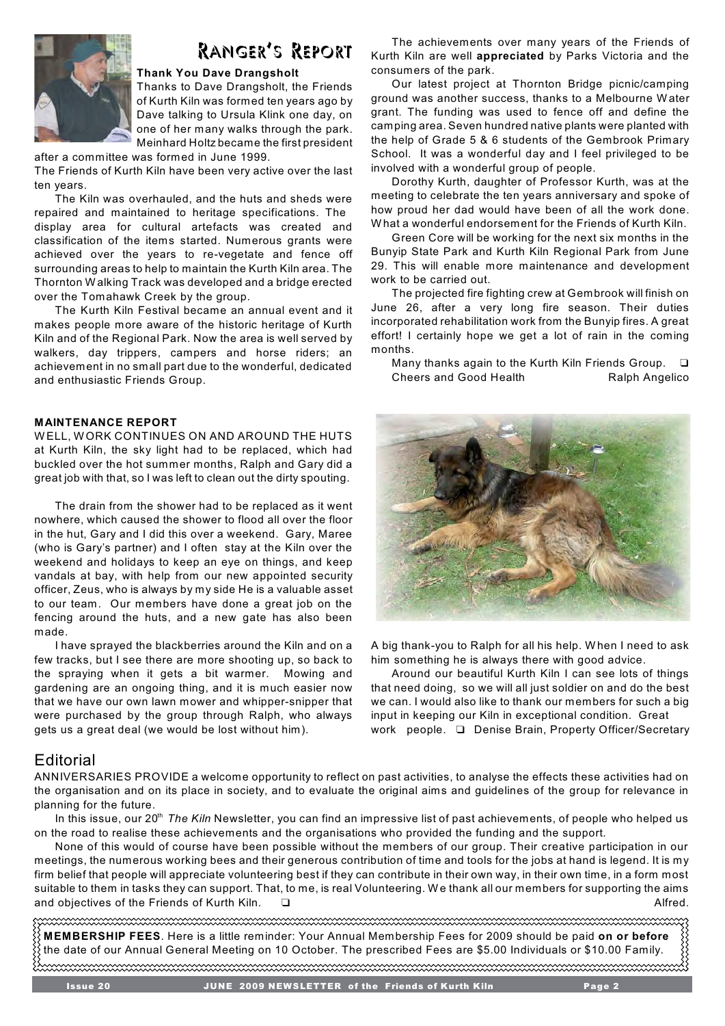

# Ranger's Report

#### **Thank You Dave Drangsholt**

Thanks to Dave Drangsholt, the Friends of Kurth Kiln was formed ten years ago by Dave talking to Ursula Klink one day, on one of her many walks through the park. Meinhard Holtz became the first president

after a committee was formed in June 1999. The Friends of Kurth Kiln have been very active over the last ten years.

The Kiln was overhauled, and the huts and sheds were repaired and maintained to heritage specifications. The display area for cultural artefacts was created and classification of the items started. Numerous grants were achieved over the years to re-vegetate and fence off surrounding areas to help to maintain the Kurth Kiln area. The Thornton W alking Track was developed and a bridge erected over the Tomahawk Creek by the group.

The Kurth Kiln Festival became an annual event and it makes people more aware of the historic heritage of Kurth Kiln and of the Regional Park. Now the area is well served by walkers, day trippers, campers and horse riders; an achievement in no small part due to the wonderful, dedicated and enthusiastic Friends Group.

#### **MAINTENANCE REPORT**

W ELL, W ORK CONTINUES ON AND AROUND THE HUTS at Kurth Kiln, the sky light had to be replaced, which had buckled over the hot summer months, Ralph and Gary did a great job with that, so I was left to clean out the dirty spouting.

The drain from the shower had to be replaced as it went nowhere, which caused the shower to flood all over the floor in the hut, Gary and I did this over a weekend. Gary, Maree (who is Gary's partner) and I often stay at the Kiln over the weekend and holidays to keep an eye on things, and keep vandals at bay, with help from our new appointed security officer, Zeus, who is always by my side He is a valuable asset to our team. Our members have done a great job on the fencing around the huts, and a new gate has also been made.

I have sprayed the blackberries around the Kiln and on a few tracks, but I see there are more shooting up, so back to the spraying when it gets a bit warmer. Mowing and gardening are an ongoing thing, and it is much easier now that we have our own lawn mower and whipper-snipper that were purchased by the group through Ralph, who always gets us a great deal (we would be lost without him).

### **Editorial**

The achievements over many years of the Friends of Kurth Kiln are well **appreciated** by Parks Victoria and the consumers of the park.

Our latest project at Thornton Bridge picnic/camping ground was another success, thanks to a Melbourne W ater grant. The funding was used to fence off and define the camping area. Seven hundred native plants were planted with the help of Grade 5 & 6 students of the Gembrook Primary School. It was a wonderful day and I feel privileged to be involved with a wonderful group of people.

Dorothy Kurth, daughter of Professor Kurth, was at the meeting to celebrate the ten years anniversary and spoke of how proud her dad would have been of all the work done. W hat a wonderful endorsement for the Friends of Kurth Kiln.

Green Core will be working for the next six months in the Bunyip State Park and Kurth Kiln Regional Park from June 29. This will enable more maintenance and development work to be carried out.

The projected fire fighting crew at Gembrook will finish on June 26, after a very long fire season. Their duties incorporated rehabilitation work from the Bunyip fires. A great effort! I certainly hope we get a lot of rain in the coming months.

Many thanks again to the Kurth Kiln Friends Group.  $\Box$ Cheers and Good Health Ralph Angelico



A big thank-you to Ralph for all his help. W hen I need to ask him something he is always there with good advice.

Around our beautiful Kurth Kiln I can see lots of things that need doing, so we will all just soldier on and do the best we can. I would also like to thank our members for such a big input in keeping our Kiln in exceptional condition. Great work people. - Denise Brain, Property Officer/Secretary

ANNIVERSARIES PROVIDE a welcome opportunity to reflect on past activities, to analyse the effects these activities had on the organisation and on its place in society, and to evaluate the original aims and guidelines of the group for relevance in planning for the future.

In this issue, our 20<sup>th</sup> The Kiln Newsletter, you can find an impressive list of past achievements, of people who helped us on the road to realise these achievements and the organisations who provided the funding and the support.

None of this would of course have been possible without the members of our group. Their creative participation in our meetings, the numerous working bees and their generous contribution of time and tools for the jobs at hand is legend. It is my firm belief that people will appreciate volunteering best if they can contribute in their own way, in their own time, in a form most suitable to them in tasks they can support. That, to me, is real Volunteering. W e thank all our members for supporting the aims and objectives of the Friends of Kurth Kiln.  $\square$ 

**MEMBERSHIP FEES**. Here is a little reminder: Your Annual Membership Fees for 2009 should be paid **on or before** the date of our Annual General Meeting on 10 October. The prescribed Fees are \$5.00 Individuals or \$10.00 Family.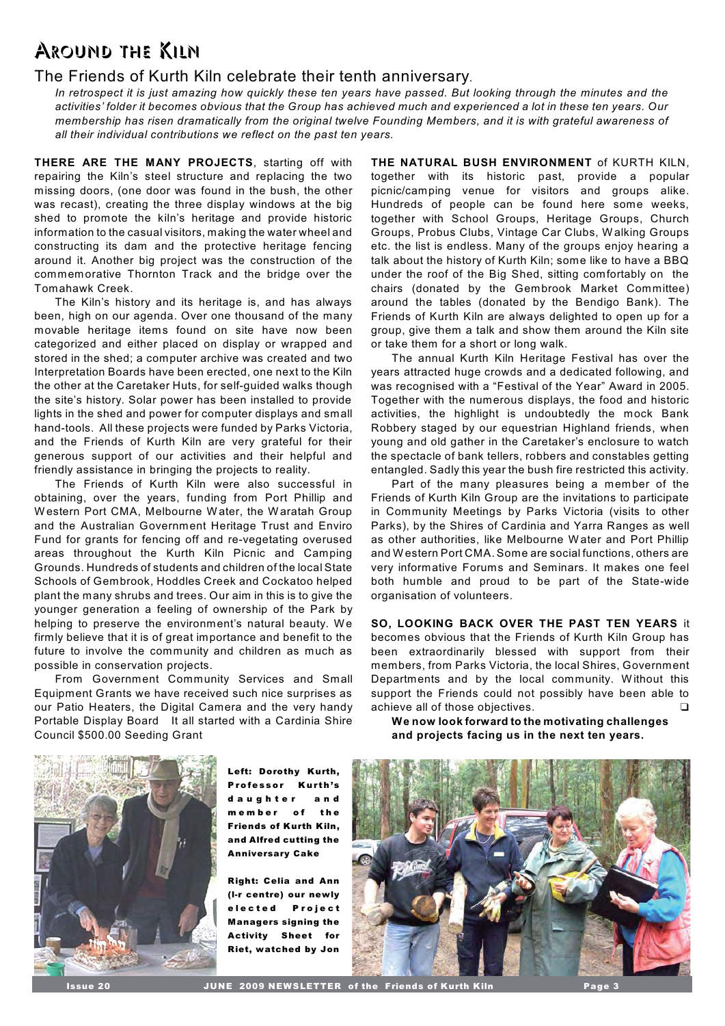# Around the Kiln

### The Friends of Kurth Kiln celebrate their tenth anniversary.

*In retrospect it is just amazing how quickly these ten years have passed. But looking through the minutes and the activities' folder it becomes obvious that the Group has achieved much and experienced a lot in these ten years. Our membership has risen dramatically from the original twelve Founding Members, and it is with grateful awareness of all their individual contributions we reflect on the past ten years.* 

**THERE ARE THE MANY PROJECTS**, starting off with repairing the Kiln's steel structure and replacing the two missing doors, (one door was found in the bush, the other was recast), creating the three display windows at the big shed to promote the kiln's heritage and provide historic information to the casual visitors, making the water wheel and constructing its dam and the protective heritage fencing around it. Another big project was the construction of the commemorative Thornton Track and the bridge over the Tomahawk Creek.

The Kiln's history and its heritage is, and has always been, high on our agenda. Over one thousand of the many movable heritage items found on site have now been categorized and either placed on display or wrapped and stored in the shed; a computer archive was created and two Interpretation Boards have been erected, one next to the Kiln the other at the Caretaker Huts, for self-guided walks though the site's history. Solar power has been installed to provide lights in the shed and power for computer displays and small hand-tools. All these projects were funded by Parks Victoria, and the Friends of Kurth Kiln are very grateful for their generous support of our activities and their helpful and friendly assistance in bringing the projects to reality.

The Friends of Kurth Kiln were also successful in obtaining, over the years, funding from Port Phillip and W estern Port CMA, Melbourne W ater, the Waratah Group and the Australian Government Heritage Trust and Enviro Fund for grants for fencing off and re-vegetating overused areas throughout the Kurth Kiln Picnic and Camping Grounds. Hundreds of students and children of the local State Schools of Gembrook, Hoddles Creek and Cockatoo helped plant the many shrubs and trees. Our aim in this is to give the younger generation a feeling of ownership of the Park by helping to preserve the environment's natural beauty. We firmly believe that it is of great importance and benefit to the future to involve the community and children as much as possible in conservation projects.

From Government Community Services and Small Equipment Grants we have received such nice surprises as our Patio Heaters, the Digital Camera and the very handy Portable Display Board It all started with a Cardinia Shire Council \$500.00 Seeding Grant

**THE NATURAL BUSH ENVIRONMENT** of KURTH KILN, together with its historic past, provide a popular picnic/camping venue for visitors and groups alike. Hundreds of people can be found here some weeks, together with School Groups, Heritage Groups, Church Groups, Probus Clubs, Vintage Car Clubs, W alking Groups etc. the list is endless. Many of the groups enjoy hearing a talk about the history of Kurth Kiln; some like to have a BBQ under the roof of the Big Shed, sitting comfortably on the chairs (donated by the Gembrook Market Committee) around the tables (donated by the Bendigo Bank). The Friends of Kurth Kiln are always delighted to open up for a group, give them a talk and show them around the Kiln site or take them for a short or long walk.

The annual Kurth Kiln Heritage Festival has over the years attracted huge crowds and a dedicated following, and was recognised with a "Festival of the Year" Award in 2005. Together with the numerous displays, the food and historic activities, the highlight is undoubtedly the mock Bank Robbery staged by our equestrian Highland friends, when young and old gather in the Caretaker's enclosure to watch the spectacle of bank tellers, robbers and constables getting entangled. Sadly this year the bush fire restricted this activity.

Part of the many pleasures being a member of the Friends of Kurth Kiln Group are the invitations to participate in Community Meetings by Parks Victoria (visits to other Parks), by the Shires of Cardinia and Yarra Ranges as well as other authorities, like Melbourne W ater and Port Phillip and Western Port CMA. Some are social functions, others are very informative Forums and Seminars. It makes one feel both humble and proud to be part of the State-wide organisation of volunteers.

**SO, LOOKING BACK OVER THE PAST TEN YEARS** it becomes obvious that the Friends of Kurth Kiln Group has been extraordinarily blessed with support from their members, from Parks Victoria, the local Shires, Government Departments and by the local community. W ithout this support the Friends could not possibly have been able to achieve all of those objectives.  $\Box$ 

**We now look forward to the motivating challenges and projects facing us in the next ten years.** 



*Left: Dorothy Kurth, Professor Kurth's daughter and member of the Friends of Kurth Kiln, and Alfred cutting the Anniversary Cake* 

*Right: Celia and Ann (l-r centre) our newly elected Project Managers signing the Activity Sheet for Riet, watched by Jon*

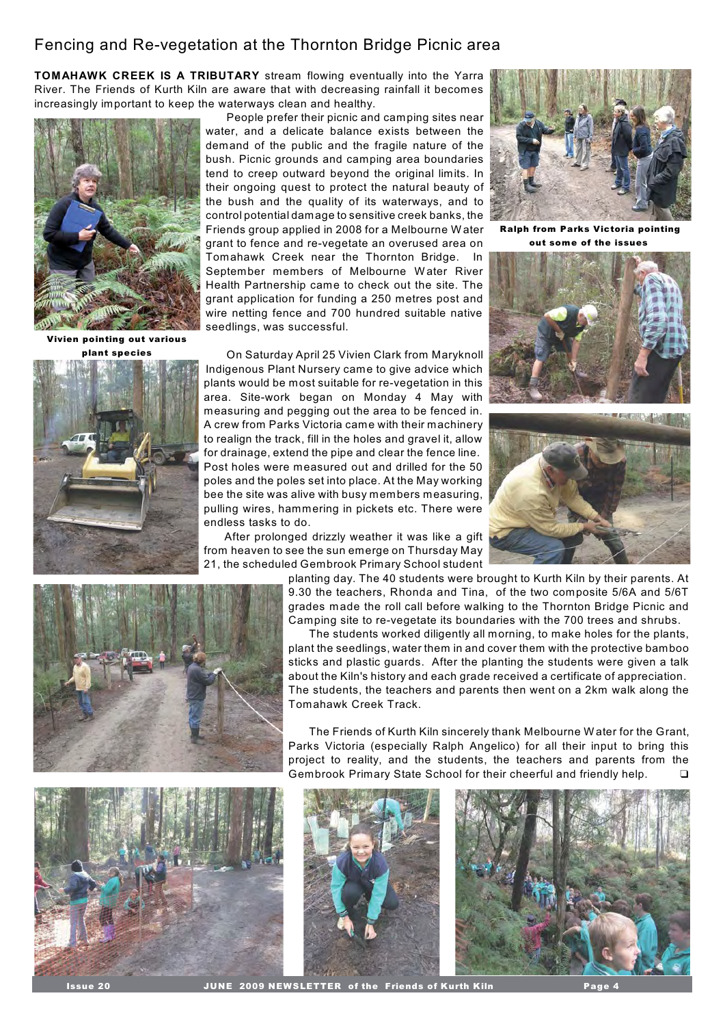## Fencing and Re-vegetation at the Thornton Bridge Picnic area

**TOMAHAWK CREEK IS A TRIBUTARY** stream flowing eventually into the Yarra River. The Friends of Kurth Kiln are aware that with decreasing rainfall it becomes increasingly important to keep the waterways clean and healthy.



*Vivien pointing out various plant species*



People prefer their picnic and camping sites near water, and a delicate balance exists between the demand of the public and the fragile nature of the bush. Picnic grounds and camping area boundaries tend to creep outward beyond the original limits. In their ongoing quest to protect the natural beauty of the bush and the quality of its waterways, and to control potential damage to sensitive creek banks, the Friends group applied in 2008 for a Melbourne W ater grant to fence and re-vegetate an overused area on Tomahawk Creek near the Thornton Bridge. In September members of Melbourne W ater River Health Partnership came to check out the site. The grant application for funding a 250 metres post and wire netting fence and 700 hundred suitable native seedlings, was successful.

On Saturday April 25 Vivien Clark from Maryknoll Indigenous Plant Nursery came to give advice which plants would be most suitable for re-vegetation in this area. Site-work began on Monday 4 May with measuring and pegging out the area to be fenced in. A crew from Parks Victoria came with their machinery to realign the track, fill in the holes and gravel it, allow for drainage, extend the pipe and clear the fence line. Post holes were measured out and drilled for the 50 poles and the poles set into place. At the May working bee the site was alive with busy members measuring, pulling wires, hammering in pickets etc. There were endless tasks to do.

After prolonged drizzly weather it was like a gift from heaven to see the sun emerge on Thursday May 21, the scheduled Gembrook Primary School student



*Ralph from Parks Victoria pointing out some of the issues* 







planting day. The 40 students were brought to Kurth Kiln by their parents. At 9.30 the teachers, Rhonda and Tina, of the two composite 5/6A and 5/6T grades made the roll call before walking to the Thornton Bridge Picnic and Camping site to re-vegetate its boundaries with the 700 trees and shrubs.

The students worked diligently all morning, to make holes for the plants, plant the seedlings, water them in and cover them with the protective bamboo sticks and plastic guards. After the planting the students were given a talk about the Kiln's history and each grade received a certificate of appreciation. The students, the teachers and parents then went on a 2km walk along the Tomahawk Creek Track.

The Friends of Kurth Kiln sincerely thank Melbourne W ater for the Grant, Parks Victoria (especially Ralph Angelico) for all their input to bring this project to reality, and the students, the teachers and parents from the Gembrook Primary State School for their cheerful and friendly help. -







**JUNE 2009 NEWSLETTER of the Friends of Kurth Kiln**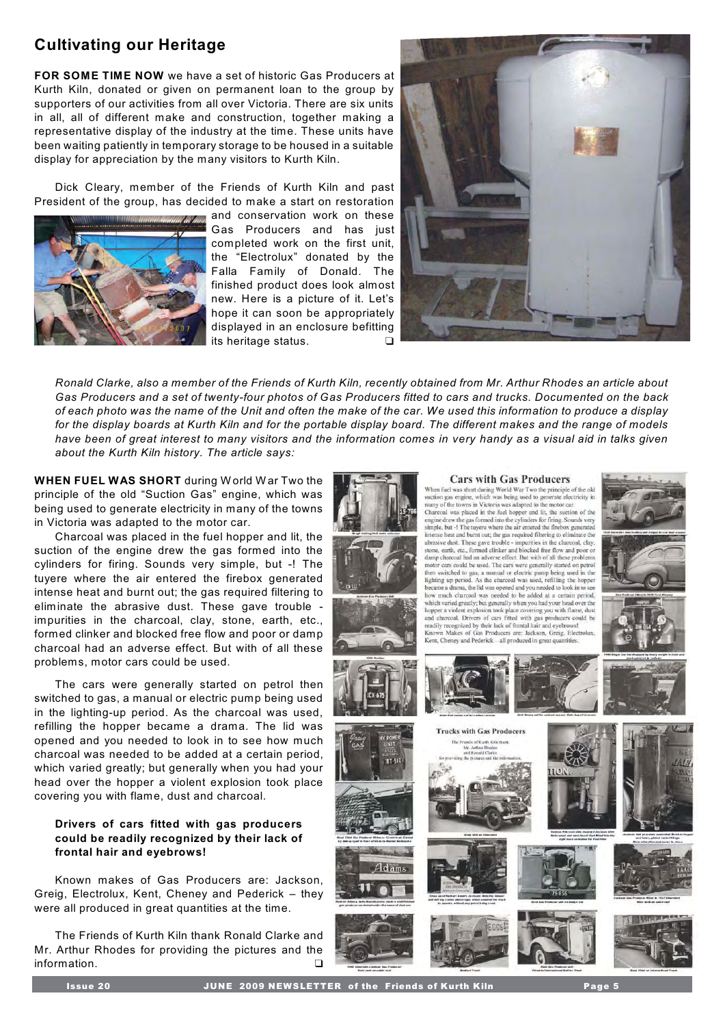## **Cultivating our Heritage**

**FOR SOME TIME NOW** we have a set of historic Gas Producers at Kurth Kiln, donated or given on permanent loan to the group by supporters of our activities from all over Victoria. There are six units in all, all of different make and construction, together making a representative display of the industry at the time. These units have been waiting patiently in temporary storage to be housed in a suitable display for appreciation by the many visitors to Kurth Kiln.

Dick Cleary, member of the Friends of Kurth Kiln and past President of the group, has decided to make a start on restoration



and conservation work on these Gas Producers and has just completed work on the first unit, the "Electrolux" donated by the Falla Family of Donald. The finished product does look almost new. Here is a picture of it. Let's hope it can soon be appropriately displayed in an enclosure befitting its heritage status.



*Ronald Clarke, also a member of the Friends of Kurth Kiln, recently obtained from Mr. Arthur Rhodes an article about Gas Producers and a set of twenty-four photos of Gas Producers fitted to cars and trucks. Documented on the back of each photo was the name of the Unit and often the make of the car. We used this information to produce a display for the display boards at Kurth Kiln and for the portable display board. The different makes and the range of models have been of great interest to many visitors and the information comes in very handy as a visual aid in talks given about the Kurth Kiln history. The article says:* 

**WHEN FUEL WAS SHORT** during W orld W ar Two the principle of the old "Suction Gas" engine, which was being used to generate electricity in many of the towns in Victoria was adapted to the motor car.

Charcoal was placed in the fuel hopper and lit, the suction of the engine drew the gas formed into the cylinders for firing. Sounds very simple, but -! The tuyere where the air entered the firebox generated intense heat and burnt out; the gas required filtering to eliminate the abrasive dust. These gave trouble impurities in the charcoal, clay, stone, earth, etc., formed clinker and blocked free flow and poor or damp charcoal had an adverse effect. But with of all these problems, motor cars could be used.

The cars were generally started on petrol then switched to gas, a manual or electric pump being used in the lighting-up period. As the charcoal was used, refilling the hopper became a drama. The lid was opened and you needed to look in to see how much charcoal was needed to be added at a certain period, which varied greatly; but generally when you had your head over the hopper a violent explosion took place covering you with flame, dust and charcoal.

#### **Drivers of cars fitted with gas producers could be readily recognized by their lack of frontal hair and eyebrows!**

Known makes of Gas Producers are: Jackson, Greig, Electrolux, Kent, Cheney and Pederick – they were all produced in great quantities at the time.

The Friends of Kurth Kiln thank Ronald Clarke and Mr. Arthur Rhodes for providing the pictures and the information.



#### **Cars with Gas Producers**

When fuel was short during World War Two the principle of the old<br>suction gas engine, which was being used to generate electricity in many of the towns in Victoria was adapted to the motor car. many or un cowns ur vectora was stangeted to the flow control of the engine drew the gas formed into the paper and Lit, the suction of the engine drew the gas formed into the cylinders for firing. Sounds very simple, but abuses the anti-volume of the gave trouble - impurities in the charcoal, clay, shows, earth, etc., formed clinker and blocked free flow and poor or damp charcoal, clay, formed clinker and blocked free flow and poor or dam then switched to gas, a manual or electric pump being used in the lighting up period. As the charcoal was used, refilling the hopper ting up personal red the entiredal was used, reming the hopper<br>time a drama, the lid was opened and you needed to look in to see<br>much charcoal was needed to be added at a certain period, which varied greatly; but generally when you had your head over the hopper a violent explosion took place covering you with flame, dust nopper a voicin capacitative and charged and charged and charged. Drivers of cars fitted with gas producers could be readily recognized by their lack of frontal hair and eyebrows! Known Makes of Gas Producers are: Jackson, Kent, Cheney and Pederick - all produced in great qua



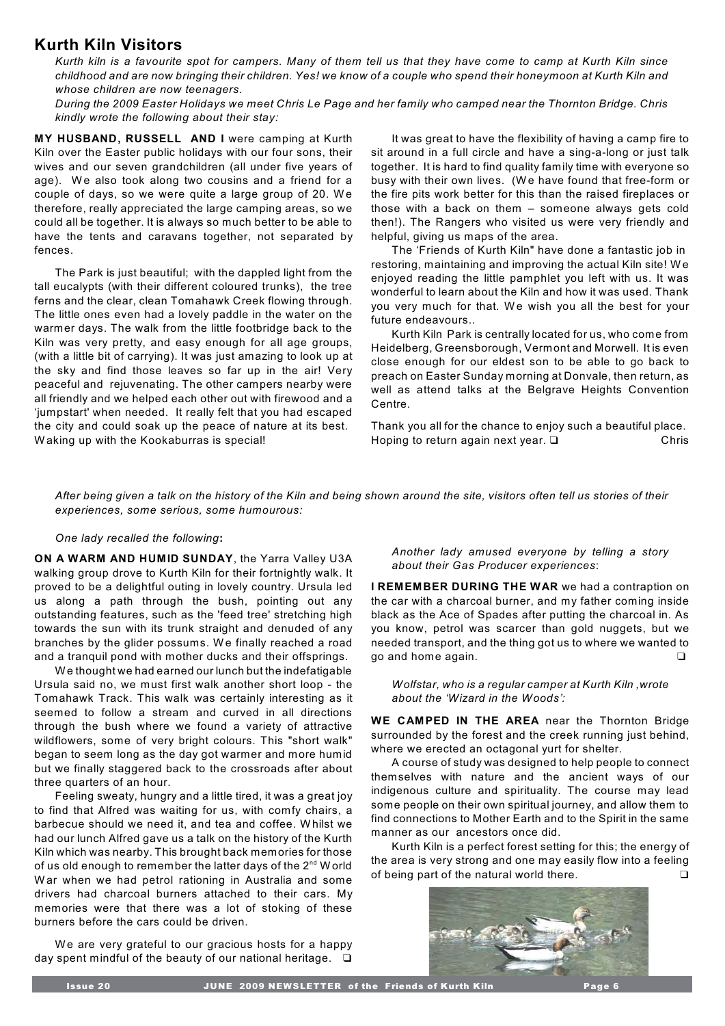### **Kurth Kiln Visitors**

*Kurth kiln is a favourite spot for campers. Many of them tell us that they have come to camp at Kurth Kiln since childhood and are now bringing their children. Yes! we know of a couple who spend their honeymoon at Kurth Kiln and whose children are now teenagers.* 

*During the 2009 Easter Holidays we meet Chris Le Page and her family who camped near the Thornton Bridge. Chris kindly wrote the following about their stay:*

**MY HUSBAND, RUSSELL AND I** were camping at Kurth Kiln over the Easter public holidays with our four sons, their wives and our seven grandchildren (all under five years of age). We also took along two cousins and a friend for a couple of days, so we were quite a large group of 20. We therefore, really appreciated the large camping areas, so we could all be together. It is always so much better to be able to have the tents and caravans together, not separated by fences.

The Park is just beautiful; with the dappled light from the tall eucalypts (with their different coloured trunks), the tree ferns and the clear, clean Tomahawk Creek flowing through. The little ones even had a lovely paddle in the water on the warmer days. The walk from the little footbridge back to the Kiln was very pretty, and easy enough for all age groups, (with a little bit of carrying). It was just amazing to look up at the sky and find those leaves so far up in the air! Very peaceful and rejuvenating. The other campers nearby were all friendly and we helped each other out with firewood and a 'jumpstart' when needed. It really felt that you had escaped the city and could soak up the peace of nature at its best. W aking up with the Kookaburras is special!

It was great to have the flexibility of having a camp fire to sit around in a full circle and have a sing-a-long or just talk together. It is hard to find quality family time with everyone so busy with their own lives. (W e have found that free-form or the fire pits work better for this than the raised fireplaces or those with a back on them – someone always gets cold then!). The Rangers who visited us were very friendly and helpful, giving us maps of the area.

The 'Friends of Kurth Kiln" have done a fantastic job in restoring, maintaining and improving the actual Kiln site! W e enjoyed reading the little pamphlet you left with us. It was wonderful to learn about the Kiln and how it was used. Thank you very much for that. We wish you all the best for your future endeavours..

Kurth Kiln Park is centrally located for us, who come from Heidelberg, Greensborough, Vermont and Morwell. It is even close enough for our eldest son to be able to go back to preach on Easter Sunday morning at Donvale, then return, as well as attend talks at the Belgrave Heights Convention Centre.

Thank you all for the chance to enjoy such a beautiful place. Hoping to return again next year.  $\square$ Chris

*After being given a talk on the history of the Kiln and being shown around the site, visitors often tell us stories of their experiences, some serious, some humourous:*

#### *One lady recalled the following***:**

**ON A WARM AND HUMID SUNDAY**, the Yarra Valley U3A walking group drove to Kurth Kiln for their fortnightly walk. It proved to be a delightful outing in lovely country. Ursula led us along a path through the bush, pointing out any outstanding features, such as the 'feed tree' stretching high towards the sun with its trunk straight and denuded of any branches by the glider possums. We finally reached a road and a tranquil pond with mother ducks and their offsprings.

W e thought we had earned our lunch but the indefatigable Ursula said no, we must first walk another short loop - the Tomahawk Track. This walk was certainly interesting as it seemed to follow a stream and curved in all directions through the bush where we found a variety of attractive wildflowers, some of very bright colours. This "short walk" began to seem long as the day got warmer and more humid but we finally staggered back to the crossroads after about three quarters of an hour.

Feeling sweaty, hungry and a little tired, it was a great joy to find that Alfred was waiting for us, with comfy chairs, a barbecue should we need it, and tea and coffee. W hilst we had our lunch Alfred gave us a talk on the history of the Kurth Kiln which was nearby. This brought back memories for those of us old enough to remember the latter days of the  $2^{nd}$  W orld W ar when we had petrol rationing in Australia and some drivers had charcoal burners attached to their cars. My memories were that there was a lot of stoking of these burners before the cars could be driven.

We are very grateful to our gracious hosts for a happy day spent mindful of the beauty of our national heritage.  $\Box$ 

*Another lady amused everyone by telling a story about their Gas Producer experiences*:

**I REMEMBER DURING THE WAR** we had a contraption on the car with a charcoal burner, and my father coming inside black as the Ace of Spades after putting the charcoal in. As you know, petrol was scarcer than gold nuggets, but we needed transport, and the thing got us to where we wanted to  $q$ o and home again.  $\Box$ 

*Wolfstar, who is a regular camper at Kurth Kiln ,wrote about the 'Wizard in the Woods':*

**WE CAMPED IN THE AREA** near the Thornton Bridge surrounded by the forest and the creek running just behind, where we erected an octagonal yurt for shelter.

A course of study was designed to help people to connect themselves with nature and the ancient ways of our indigenous culture and spirituality. The course may lead some people on their own spiritual journey, and allow them to find connections to Mother Earth and to the Spirit in the same manner as our ancestors once did.

Kurth Kiln is a perfect forest setting for this; the energy of the area is very strong and one may easily flow into a feeling of being part of the natural world there.  $\Box$ 

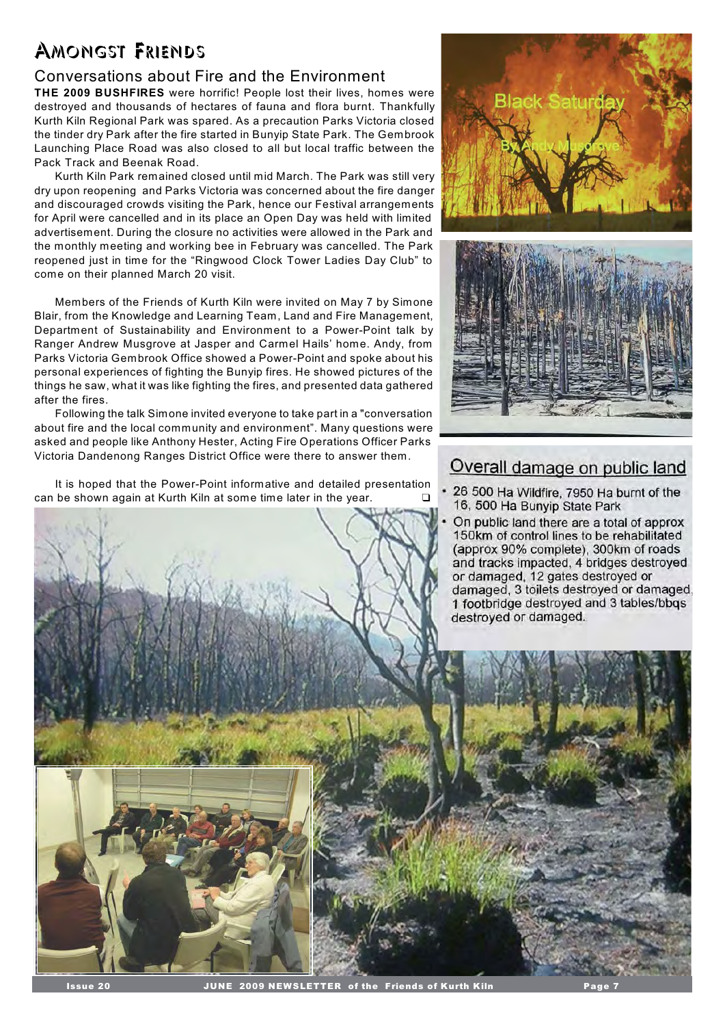# Amongst Friends

## Conversations about Fire and the Environment

**THE 2009 BUSHFIRES** were horrific! People lost their lives, homes were destroyed and thousands of hectares of fauna and flora burnt. Thankfully Kurth Kiln Regional Park was spared. As a precaution Parks Victoria closed the tinder dry Park after the fire started in Bunyip State Park. The Gembrook Launching Place Road was also closed to all but local traffic between the Pack Track and Beenak Road.

Kurth Kiln Park remained closed until mid March. The Park was still very dry upon reopening and Parks Victoria was concerned about the fire danger and discouraged crowds visiting the Park, hence our Festival arrangements for April were cancelled and in its place an Open Day was held with limited advertisement. During the closure no activities were allowed in the Park and the monthly meeting and working bee in February was cancelled. The Park reopened just in time for the "Ringwood Clock Tower Ladies Day Club" to come on their planned March 20 visit.

Members of the Friends of Kurth Kiln were invited on May 7 by Simone Blair, from the Knowledge and Learning Team, Land and Fire Management, Department of Sustainability and Environment to a Power-Point talk by Ranger Andrew Musgrove at Jasper and Carmel Hails' home. Andy, from Parks Victoria Gembrook Office showed a Power-Point and spoke about his personal experiences of fighting the Bunyip fires. He showed pictures of the things he saw, what it was like fighting the fires, and presented data gathered after the fires.

Following the talk Simone invited everyone to take part in a "conversation about fire and the local community and environment". Many questions were asked and people like Anthony Hester, Acting Fire Operations Officer Parks Victoria Dandenong Ranges District Office were there to answer them.

It is hoped that the Power-Point informative and detailed presentation can be shown again at Kurth Kiln at some time later in the year.





# Overall damage on public land

- 26 500 Ha Wildfire, 7950 Ha burnt of the 16, 500 Ha Bunyip State Park
- On public land there are a total of approx 150km of control lines to be rehabilitated (approx 90% complete), 300km of roads and tracks impacted, 4 bridges destroyed or damaged, 12 gates destroyed or damaged, 3 toilets destroyed or damaged, 1 footbridge destroyed and 3 tables/bbqs destroyed or damaged.